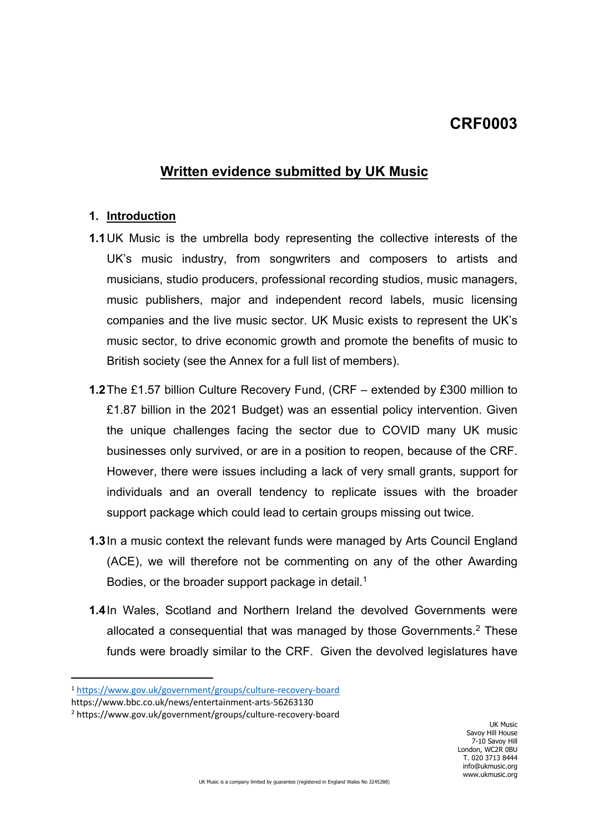## **CRF0003**

## **Written evidence submitted by UK Music**

#### **1. Introduction**

- **1.1**UK Music is the umbrella body representing the collective interests of the UK's music industry, from songwriters and composers to artists and musicians, studio producers, professional recording studios, music managers, music publishers, major and independent record labels, music licensing companies and the live music sector. UK Music exists to represent the UK's music sector, to drive economic growth and promote the benefits of music to British society (see the Annex for a full list of members).
- **1.2**The £1.57 billion Culture Recovery Fund, (CRF extended by £300 million to £1.87 billion in the 2021 Budget) was an essential policy intervention. Given the unique challenges facing the sector due to COVID many UK music businesses only survived, or are in a position to reopen, because of the CRF. However, there were issues including a lack of very small grants, support for individuals and an overall tendency to replicate issues with the broader support package which could lead to certain groups missing out twice.
- **1.3**In a music context the relevant funds were managed by Arts Council England (ACE), we will therefore not be commenting on any of the other Awarding Bodies, or the broader support package in detail.<sup>1</sup>
- **1.4**In Wales, Scotland and Northern Ireland the devolved Governments were allocated a consequential that was managed by those Governments.<sup>2</sup> These funds were broadly similar to the CRF. Given the devolved legislatures have

<sup>1</sup> <https://www.gov.uk/government/groups/culture-recovery-board>

https://www.bbc.co.uk/news/entertainment-arts-56263130

<sup>2</sup> https://www.gov.uk/government/groups/culture-recovery-board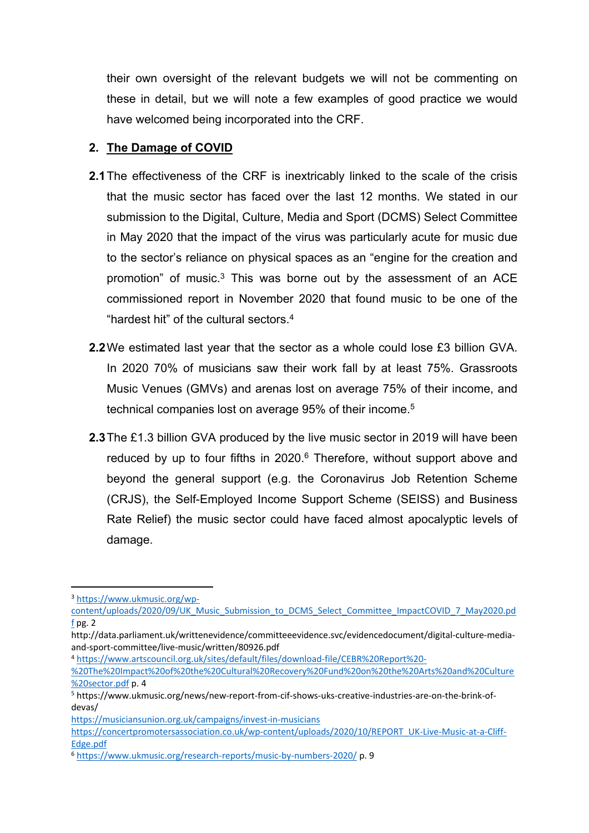their own oversight of the relevant budgets we will not be commenting on these in detail, but we will note a few examples of good practice we would have welcomed being incorporated into the CRF.

#### **2. The Damage of COVID**

- **2.1**The effectiveness of the CRF is inextricably linked to the scale of the crisis that the music sector has faced over the last 12 months. We stated in our submission to the Digital, Culture, Media and Sport (DCMS) Select Committee in May 2020 that the impact of the virus was particularly acute for music due to the sector's reliance on physical spaces as an "engine for the creation and promotion" of music.<sup>3</sup> This was borne out by the assessment of an ACE commissioned report in November 2020 that found music to be one of the "hardest hit" of the cultural sectors.<sup>4</sup>
- **2.2**We estimated last year that the sector as a whole could lose £3 billion GVA. In 2020 70% of musicians saw their work fall by at least 75%. Grassroots Music Venues (GMVs) and arenas lost on average 75% of their income, and technical companies lost on average 95% of their income.<sup>5</sup>
- **2.3**The £1.3 billion GVA produced by the live music sector in 2019 will have been reduced by up to four fifths in 2020.<sup>6</sup> Therefore, without support above and beyond the general support (e.g. the Coronavirus Job Retention Scheme (CRJS), the Self-Employed Income Support Scheme (SEISS) and Business Rate Relief) the music sector could have faced almost apocalyptic levels of damage.

<sup>4</sup> [https://www.artscouncil.org.uk/sites/default/files/download-file/CEBR%20Report%20-](https://www.artscouncil.org.uk/sites/default/files/download-file/CEBR%20Report%20-%20The%20Impact%20of%20the%20Cultural%20Recovery%20Fund%20on%20the%20Arts%20and%20Culture%20sector.pdf)

[%20The%20Impact%20of%20the%20Cultural%20Recovery%20Fund%20on%20the%20Arts%20and%20Culture](https://www.artscouncil.org.uk/sites/default/files/download-file/CEBR%20Report%20-%20The%20Impact%20of%20the%20Cultural%20Recovery%20Fund%20on%20the%20Arts%20and%20Culture%20sector.pdf) [%20sector.pdf](https://www.artscouncil.org.uk/sites/default/files/download-file/CEBR%20Report%20-%20The%20Impact%20of%20the%20Cultural%20Recovery%20Fund%20on%20the%20Arts%20and%20Culture%20sector.pdf) p. 4

<https://musiciansunion.org.uk/campaigns/invest-in-musicians>

<sup>3</sup> [https://www.ukmusic.org/wp-](https://www.ukmusic.org/wp-content/uploads/2020/09/UK_Music_Submission_to_DCMS_Select_Committee_ImpactCOVID_7_May2020.pdf)

[content/uploads/2020/09/UK\\_Music\\_Submission\\_to\\_DCMS\\_Select\\_Committee\\_ImpactCOVID\\_7\\_May2020.pd](https://www.ukmusic.org/wp-content/uploads/2020/09/UK_Music_Submission_to_DCMS_Select_Committee_ImpactCOVID_7_May2020.pdf) [f](https://www.ukmusic.org/wp-content/uploads/2020/09/UK_Music_Submission_to_DCMS_Select_Committee_ImpactCOVID_7_May2020.pdf) pg. 2

http://data.parliament.uk/writtenevidence/committeeevidence.svc/evidencedocument/digital-culture-mediaand-sport-committee/live-music/written/80926.pdf

<sup>5</sup> https://www.ukmusic.org/news/new-report-from-cif-shows-uks-creative-industries-are-on-the-brink-ofdevas/

[https://concertpromotersassociation.co.uk/wp-content/uploads/2020/10/REPORT\\_UK-Live-Music-at-a-Cliff-](https://concertpromotersassociation.co.uk/wp-content/uploads/2020/10/REPORT_UK-Live-Music-at-a-Cliff-Edge.pdf)[Edge.pdf](https://concertpromotersassociation.co.uk/wp-content/uploads/2020/10/REPORT_UK-Live-Music-at-a-Cliff-Edge.pdf)

<sup>6</sup> <https://www.ukmusic.org/research-reports/music-by-numbers-2020/> p. 9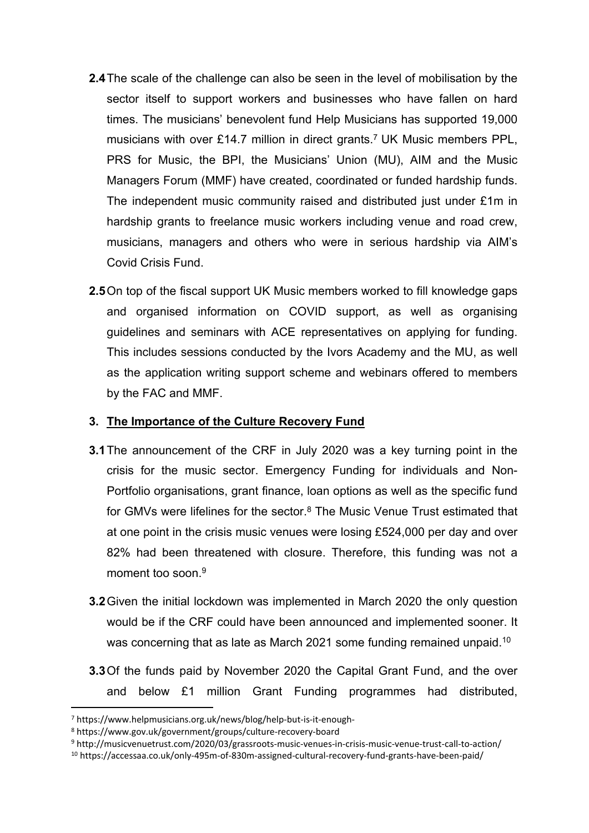- **2.4**The scale of the challenge can also be seen in the level of mobilisation by the sector itself to support workers and businesses who have fallen on hard times. The musicians' benevolent fund Help Musicians has supported 19,000 musicians with over £14.7 million in direct grants. <sup>7</sup> UK Music members PPL, PRS for Music, the BPI, the Musicians' Union (MU), AIM and the Music Managers Forum (MMF) have created, coordinated or funded hardship funds. The independent music community raised and distributed just under £1m in hardship grants to freelance music workers including venue and road crew, musicians, managers and others who were in serious hardship via AIM's Covid Crisis Fund.
- **2.5**On top of the fiscal support UK Music members worked to fill knowledge gaps and organised information on COVID support, as well as organising guidelines and seminars with ACE representatives on applying for funding. This includes sessions conducted by the Ivors Academy and the MU, as well as the application writing support scheme and webinars offered to members by the FAC and MMF.

#### **3. The Importance of the Culture Recovery Fund**

- **3.1**The announcement of the CRF in July 2020 was a key turning point in the crisis for the music sector. Emergency Funding for individuals and Non-Portfolio organisations, grant finance, loan options as well as the specific fund for GMVs were lifelines for the sector.<sup>8</sup> The Music Venue Trust estimated that at one point in the crisis music venues were losing £524,000 per day and over 82% had been threatened with closure. Therefore, this funding was not a moment too soon  $9$
- **3.2**Given the initial lockdown was implemented in March 2020 the only question would be if the CRF could have been announced and implemented sooner. It was concerning that as late as March 2021 some funding remained unpaid.<sup>10</sup>
- **3.3**Of the funds paid by November 2020 the Capital Grant Fund, and the over and below £1 million Grant Funding programmes had distributed,

<sup>9</sup> http://musicvenuetrust.com/2020/03/grassroots-music-venues-in-crisis-music-venue-trust-call-to-action/

<sup>7</sup> https://www.helpmusicians.org.uk/news/blog/help-but-is-it-enough-

<sup>8</sup> https://www.gov.uk/government/groups/culture-recovery-board

<sup>10</sup> https://accessaa.co.uk/only-495m-of-830m-assigned-cultural-recovery-fund-grants-have-been-paid/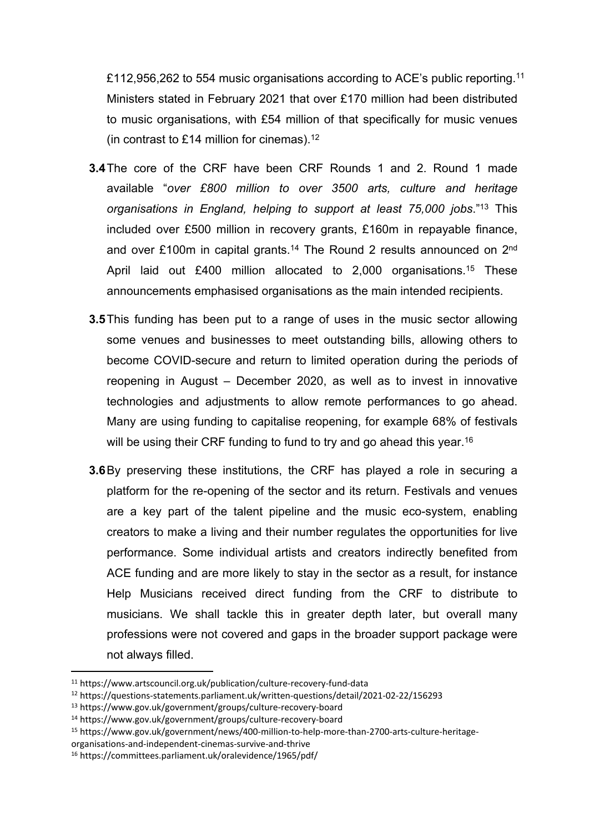£112,956,262 to 554 music organisations according to ACE's public reporting.<sup>11</sup> Ministers stated in February 2021 that over £170 million had been distributed to music organisations, with £54 million of that specifically for music venues (in contrast to £14 million for cinemas).<sup>12</sup>

- **3.4**The core of the CRF have been CRF Rounds 1 and 2. Round 1 made available "*over £800 million to over 3500 arts, culture and heritage organisations in England, helping to support at least 75,000 jobs*."<sup>13</sup> This included over £500 million in recovery grants, £160m in repayable finance, and over £100m in capital grants.<sup>14</sup> The Round 2 results announced on 2<sup>nd</sup> April laid out £400 million allocated to 2,000 organisations.<sup>15</sup> These announcements emphasised organisations as the main intended recipients.
- **3.5**This funding has been put to a range of uses in the music sector allowing some venues and businesses to meet outstanding bills, allowing others to become COVID-secure and return to limited operation during the periods of reopening in August – December 2020, as well as to invest in innovative technologies and adjustments to allow remote performances to go ahead. Many are using funding to capitalise reopening, for example 68% of festivals will be using their CRF funding to fund to try and go ahead this year.<sup>16</sup>
- **3.6**By preserving these institutions, the CRF has played a role in securing a platform for the re-opening of the sector and its return. Festivals and venues are a key part of the talent pipeline and the music eco-system, enabling creators to make a living and their number regulates the opportunities for live performance. Some individual artists and creators indirectly benefited from ACE funding and are more likely to stay in the sector as a result, for instance Help Musicians received direct funding from the CRF to distribute to musicians. We shall tackle this in greater depth later, but overall many professions were not covered and gaps in the broader support package were not always filled.

<sup>11</sup> https://www.artscouncil.org.uk/publication/culture-recovery-fund-data

<sup>12</sup> https://questions-statements.parliament.uk/written-questions/detail/2021-02-22/156293

<sup>13</sup> https://www.gov.uk/government/groups/culture-recovery-board

<sup>14</sup> https://www.gov.uk/government/groups/culture-recovery-board

<sup>15</sup> https://www.gov.uk/government/news/400-million-to-help-more-than-2700-arts-culture-heritage-

organisations-and-independent-cinemas-survive-and-thrive

<sup>16</sup> https://committees.parliament.uk/oralevidence/1965/pdf/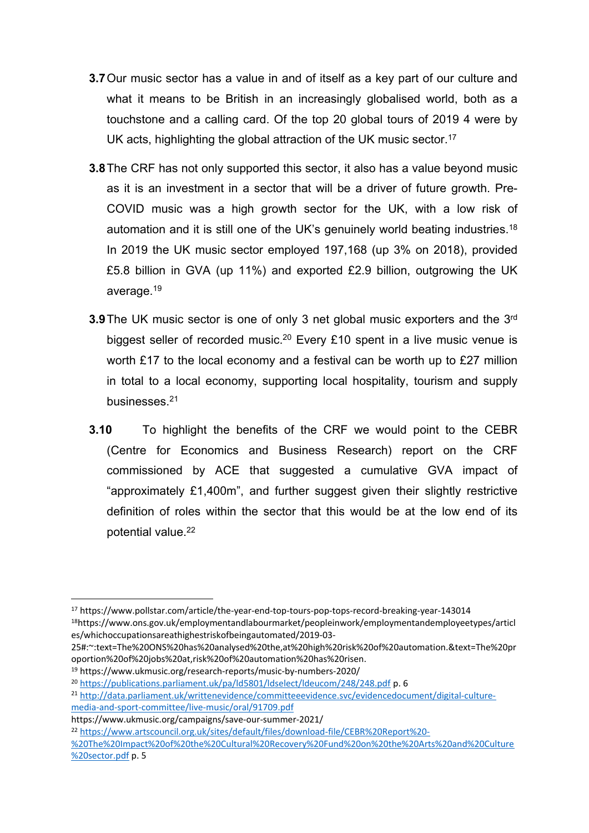- **3.7**Our music sector has a value in and of itself as a key part of our culture and what it means to be British in an increasingly globalised world, both as a touchstone and a calling card. Of the top 20 global tours of 2019 4 were by UK acts, highlighting the global attraction of the UK music sector.<sup>17</sup>
- **3.8**The CRF has not only supported this sector, it also has a value beyond music as it is an investment in a sector that will be a driver of future growth. Pre-COVID music was a high growth sector for the UK, with a low risk of automation and it is still one of the UK's genuinely world beating industries.<sup>18</sup> In 2019 the UK music sector employed 197,168 (up 3% on 2018), provided £5.8 billion in GVA (up 11%) and exported £2.9 billion, outgrowing the UK average.<sup>19</sup>
- **3.9** The UK music sector is one of only 3 net global music exporters and the 3<sup>rd</sup> biggest seller of recorded music.<sup>20</sup> Every £10 spent in a live music venue is worth £17 to the local economy and a festival can be worth up to £27 million in total to a local economy, supporting local hospitality, tourism and supply businesses.<sup>21</sup>
- **3.10** To highlight the benefits of the CRF we would point to the CEBR (Centre for Economics and Business Research) report on the CRF commissioned by ACE that suggested a cumulative GVA impact of "approximately £1,400m", and further suggest given their slightly restrictive definition of roles within the sector that this would be at the low end of its potential value.<sup>22</sup>

es/whichoccupationsareathighestriskofbeingautomated/2019-03-

<sup>19</sup> https://www.ukmusic.org/research-reports/music-by-numbers-2020/

<sup>17</sup> https://www.pollstar.com/article/the-year-end-top-tours-pop-tops-record-breaking-year-143014 <sup>18</sup>https://www.ons.gov.uk/employmentandlabourmarket/peopleinwork/employmentandemployeetypes/articl

<sup>25#:~:</sup>text=The%20ONS%20has%20analysed%20the,at%20high%20risk%20of%20automation.&text=The%20pr oportion%20of%20jobs%20at,risk%20of%20automation%20has%20risen.

<sup>20</sup> <https://publications.parliament.uk/pa/ld5801/ldselect/ldeucom/248/248.pdf> p. 6

<sup>21</sup> [http://data.parliament.uk/writtenevidence/committeeevidence.svc/evidencedocument/digital-culture](http://data.parliament.uk/writtenevidence/committeeevidence.svc/evidencedocument/digital-culture-media-and-sport-committee/live-music/oral/91709.pdf)[media-and-sport-committee/live-music/oral/91709.pdf](http://data.parliament.uk/writtenevidence/committeeevidence.svc/evidencedocument/digital-culture-media-and-sport-committee/live-music/oral/91709.pdf)

https://www.ukmusic.org/campaigns/save-our-summer-2021/

<sup>22</sup> [https://www.artscouncil.org.uk/sites/default/files/download-file/CEBR%20Report%20-](https://www.artscouncil.org.uk/sites/default/files/download-file/CEBR%20Report%20-%20The%20Impact%20of%20the%20Cultural%20Recovery%20Fund%20on%20the%20Arts%20and%20Culture%20sector.pdf) [%20The%20Impact%20of%20the%20Cultural%20Recovery%20Fund%20on%20the%20Arts%20and%20Culture](https://www.artscouncil.org.uk/sites/default/files/download-file/CEBR%20Report%20-%20The%20Impact%20of%20the%20Cultural%20Recovery%20Fund%20on%20the%20Arts%20and%20Culture%20sector.pdf) [%20sector.pdf](https://www.artscouncil.org.uk/sites/default/files/download-file/CEBR%20Report%20-%20The%20Impact%20of%20the%20Cultural%20Recovery%20Fund%20on%20the%20Arts%20and%20Culture%20sector.pdf) p. 5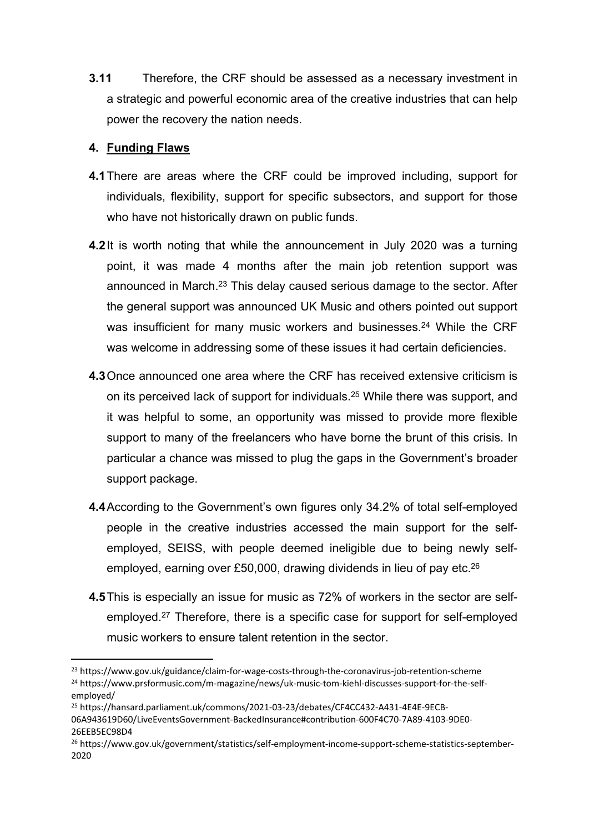**3.11** Therefore, the CRF should be assessed as a necessary investment in a strategic and powerful economic area of the creative industries that can help power the recovery the nation needs.

#### **4. Funding Flaws**

- **4.1**There are areas where the CRF could be improved including, support for individuals, flexibility, support for specific subsectors, and support for those who have not historically drawn on public funds.
- **4.2**It is worth noting that while the announcement in July 2020 was a turning point, it was made 4 months after the main job retention support was announced in March.<sup>23</sup> This delay caused serious damage to the sector. After the general support was announced UK Music and others pointed out support was insufficient for many music workers and businesses.<sup>24</sup> While the CRF was welcome in addressing some of these issues it had certain deficiencies.
- **4.3**Once announced one area where the CRF has received extensive criticism is on its perceived lack of support for individuals.<sup>25</sup> While there was support, and it was helpful to some, an opportunity was missed to provide more flexible support to many of the freelancers who have borne the brunt of this crisis. In particular a chance was missed to plug the gaps in the Government's broader support package.
- **4.4**According to the Government's own figures only 34.2% of total self-employed people in the creative industries accessed the main support for the selfemployed, SEISS, with people deemed ineligible due to being newly selfemployed, earning over £50,000, drawing dividends in lieu of pay etc.<sup>26</sup>
- **4.5**This is especially an issue for music as 72% of workers in the sector are selfemployed.<sup>27</sup> Therefore, there is a specific case for support for self-employed music workers to ensure talent retention in the sector.

<sup>25</sup> https://hansard.parliament.uk/commons/2021-03-23/debates/CF4CC432-A431-4E4E-9ECB-06A943619D60/LiveEventsGovernment-BackedInsurance#contribution-600F4C70-7A89-4103-9DE0- 26EEB5EC98D4

<sup>&</sup>lt;sup>23</sup> https://www.gov.uk/guidance/claim-for-wage-costs-through-the-coronavirus-job-retention-scheme <sup>24</sup> https://www.prsformusic.com/m-magazine/news/uk-music-tom-kiehl-discusses-support-for-the-selfemployed/

<sup>26</sup> https://www.gov.uk/government/statistics/self-employment-income-support-scheme-statistics-september-2020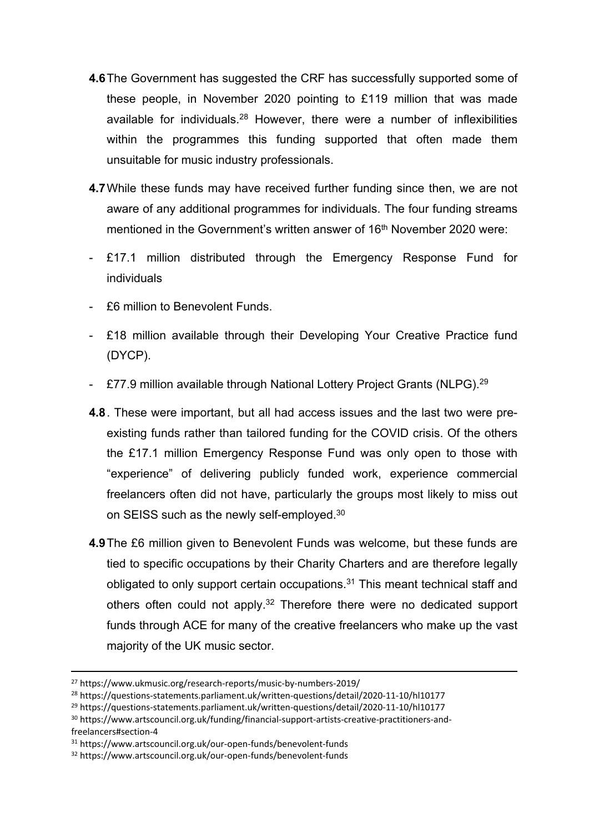- **4.6**The Government has suggested the CRF has successfully supported some of these people, in November 2020 pointing to £119 million that was made available for individuals.<sup>28</sup> However, there were a number of inflexibilities within the programmes this funding supported that often made them unsuitable for music industry professionals.
- **4.7**While these funds may have received further funding since then, we are not aware of any additional programmes for individuals. The four funding streams mentioned in the Government's written answer of 16<sup>th</sup> November 2020 were:
- £17.1 million distributed through the Emergency Response Fund for individuals
- £6 million to Benevolent Funds.
- £18 million available through their Developing Your Creative Practice fund (DYCP).
- £77.9 million available through National Lottery Project Grants (NLPG).<sup>29</sup>
- **4.8**. These were important, but all had access issues and the last two were preexisting funds rather than tailored funding for the COVID crisis. Of the others the £17.1 million Emergency Response Fund was only open to those with "experience" of delivering publicly funded work, experience commercial freelancers often did not have, particularly the groups most likely to miss out on SEISS such as the newly self-employed.<sup>30</sup>
- **4.9**The £6 million given to Benevolent Funds was welcome, but these funds are tied to specific occupations by their Charity Charters and are therefore legally obligated to only support certain occupations.<sup>31</sup> This meant technical staff and others often could not apply.<sup>32</sup> Therefore there were no dedicated support funds through ACE for many of the creative freelancers who make up the vast majority of the UK music sector.

<sup>27</sup> https://www.ukmusic.org/research-reports/music-by-numbers-2019/

<sup>28</sup> https://questions-statements.parliament.uk/written-questions/detail/2020-11-10/hl10177

<sup>29</sup> https://questions-statements.parliament.uk/written-questions/detail/2020-11-10/hl10177

<sup>30</sup> https://www.artscouncil.org.uk/funding/financial-support-artists-creative-practitioners-andfreelancers#section-4

<sup>31</sup> https://www.artscouncil.org.uk/our-open-funds/benevolent-funds

<sup>32</sup> https://www.artscouncil.org.uk/our-open-funds/benevolent-funds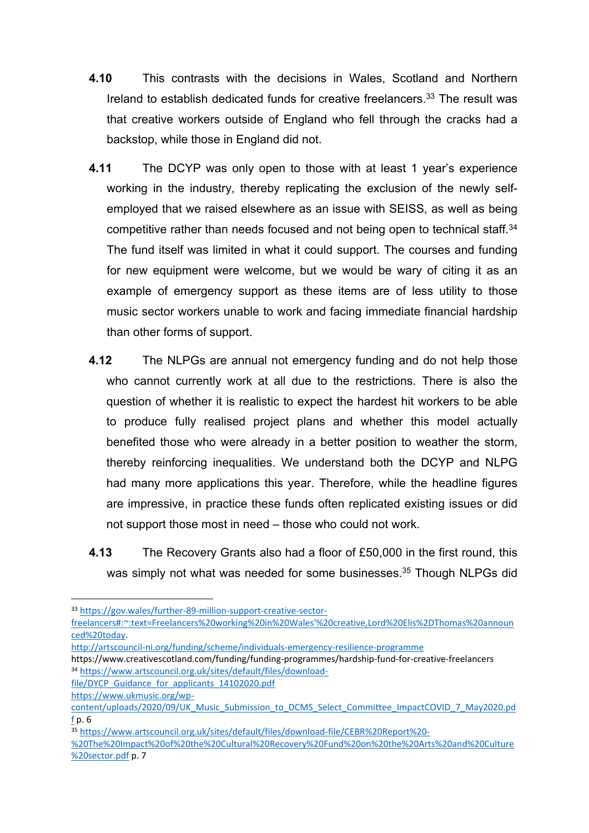- **4.10** This contrasts with the decisions in Wales, Scotland and Northern Ireland to establish dedicated funds for creative freelancers.<sup>33</sup> The result was that creative workers outside of England who fell through the cracks had a backstop, while those in England did not.
- **4.11** The DCYP was only open to those with at least 1 year's experience working in the industry, thereby replicating the exclusion of the newly selfemployed that we raised elsewhere as an issue with SEISS, as well as being competitive rather than needs focused and not being open to technical staff.<sup>34</sup> The fund itself was limited in what it could support. The courses and funding for new equipment were welcome, but we would be wary of citing it as an example of emergency support as these items are of less utility to those music sector workers unable to work and facing immediate financial hardship than other forms of support.
- **4.12** The NLPGs are annual not emergency funding and do not help those who cannot currently work at all due to the restrictions. There is also the question of whether it is realistic to expect the hardest hit workers to be able to produce fully realised project plans and whether this model actually benefited those who were already in a better position to weather the storm, thereby reinforcing inequalities. We understand both the DCYP and NLPG had many more applications this year. Therefore, while the headline figures are impressive, in practice these funds often replicated existing issues or did not support those most in need – those who could not work.
- **4.13** The Recovery Grants also had a floor of £50,000 in the first round, this was simply not what was needed for some businesses.<sup>35</sup> Though NLPGs did

https://www.creativescotland.com/funding/funding-programmes/hardship-fund-for-creative-freelancers <sup>34</sup> [https://www.artscouncil.org.uk/sites/default/files/download-](https://www.artscouncil.org.uk/sites/default/files/download-file/DYCP_Guidance_for_applicants_14102020.pdf)

file/DYCP Guidance for applicants 14102020.pdf

<sup>33</sup> [https://gov.wales/further-89-million-support-creative-sector-](https://gov.wales/further-89-million-support-creative-sector-freelancers#:~:text=Freelancers%20working%20in%20Wales)

[freelancers#:~:text=Freelancers%20working%20in%20Wales'%20creative,Lord%20Elis%2DThomas%20announ](https://gov.wales/further-89-million-support-creative-sector-freelancers#:~:text=Freelancers%20working%20in%20Wales) [ced%20today.](https://gov.wales/further-89-million-support-creative-sector-freelancers#:~:text=Freelancers%20working%20in%20Wales)

<http://artscouncil-ni.org/funding/scheme/individuals-emergency-resilience-programme>

[https://www.ukmusic.org/wp-](https://www.ukmusic.org/wp-content/uploads/2020/09/UK_Music_Submission_to_DCMS_Select_Committee_ImpactCOVID_7_May2020.pdf)

[content/uploads/2020/09/UK\\_Music\\_Submission\\_to\\_DCMS\\_Select\\_Committee\\_ImpactCOVID\\_7\\_May2020.pd](https://www.ukmusic.org/wp-content/uploads/2020/09/UK_Music_Submission_to_DCMS_Select_Committee_ImpactCOVID_7_May2020.pdf) [f](https://www.ukmusic.org/wp-content/uploads/2020/09/UK_Music_Submission_to_DCMS_Select_Committee_ImpactCOVID_7_May2020.pdf) p. 6

<sup>35</sup> [https://www.artscouncil.org.uk/sites/default/files/download-file/CEBR%20Report%20-](https://www.artscouncil.org.uk/sites/default/files/download-file/CEBR%20Report%20-%20The%20Impact%20of%20the%20Cultural%20Recovery%20Fund%20on%20the%20Arts%20and%20Culture%20sector.pdf)

[<sup>%20</sup>The%20Impact%20of%20the%20Cultural%20Recovery%20Fund%20on%20the%20Arts%20and%20Culture](https://www.artscouncil.org.uk/sites/default/files/download-file/CEBR%20Report%20-%20The%20Impact%20of%20the%20Cultural%20Recovery%20Fund%20on%20the%20Arts%20and%20Culture%20sector.pdf) [%20sector.pdf](https://www.artscouncil.org.uk/sites/default/files/download-file/CEBR%20Report%20-%20The%20Impact%20of%20the%20Cultural%20Recovery%20Fund%20on%20the%20Arts%20and%20Culture%20sector.pdf) p. 7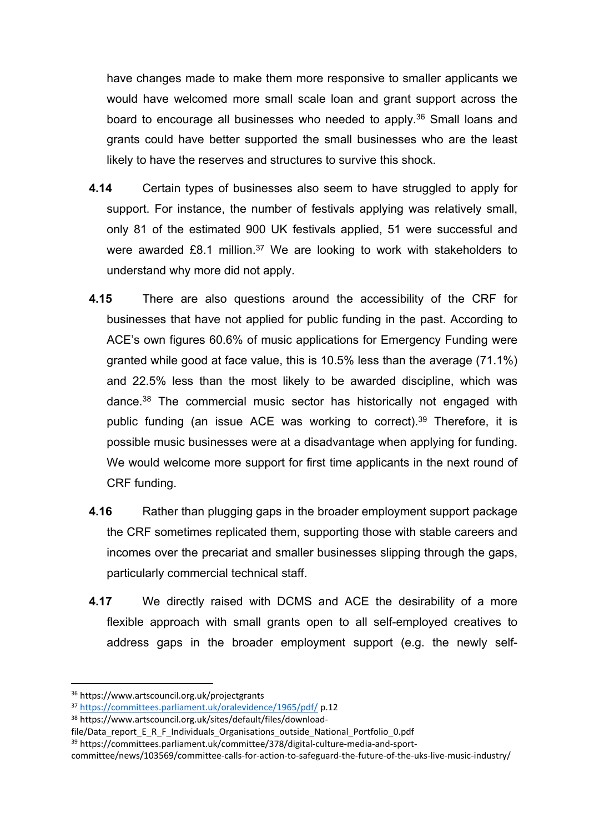have changes made to make them more responsive to smaller applicants we would have welcomed more small scale loan and grant support across the board to encourage all businesses who needed to apply.<sup>36</sup> Small loans and grants could have better supported the small businesses who are the least likely to have the reserves and structures to survive this shock.

- **4.14** Certain types of businesses also seem to have struggled to apply for support. For instance, the number of festivals applying was relatively small, only 81 of the estimated 900 UK festivals applied, 51 were successful and were awarded £8.1 million.<sup>37</sup> We are looking to work with stakeholders to understand why more did not apply.
- **4.15** There are also questions around the accessibility of the CRF for businesses that have not applied for public funding in the past. According to ACE's own figures 60.6% of music applications for Emergency Funding were granted while good at face value, this is 10.5% less than the average (71.1%) and 22.5% less than the most likely to be awarded discipline, which was dance.<sup>38</sup> The commercial music sector has historically not engaged with public funding (an issue ACE was working to correct).<sup>39</sup> Therefore, it is possible music businesses were at a disadvantage when applying for funding. We would welcome more support for first time applicants in the next round of CRF funding.
- **4.16** Rather than plugging gaps in the broader employment support package the CRF sometimes replicated them, supporting those with stable careers and incomes over the precariat and smaller businesses slipping through the gaps, particularly commercial technical staff.
- **4.17** We directly raised with DCMS and ACE the desirability of a more flexible approach with small grants open to all self-employed creatives to address gaps in the broader employment support (e.g. the newly self-

<sup>36</sup> https://www.artscouncil.org.uk/projectgrants

<sup>37</sup> <https://committees.parliament.uk/oralevidence/1965/pdf/> p.12

<sup>38</sup> https://www.artscouncil.org.uk/sites/default/files/download-

file/Data\_report\_E\_R\_F\_Individuals\_Organisations\_outside\_National\_Portfolio\_0.pdf

<sup>39</sup> https://committees.parliament.uk/committee/378/digital-culture-media-and-sport-

committee/news/103569/committee-calls-for-action-to-safeguard-the-future-of-the-uks-live-music-industry/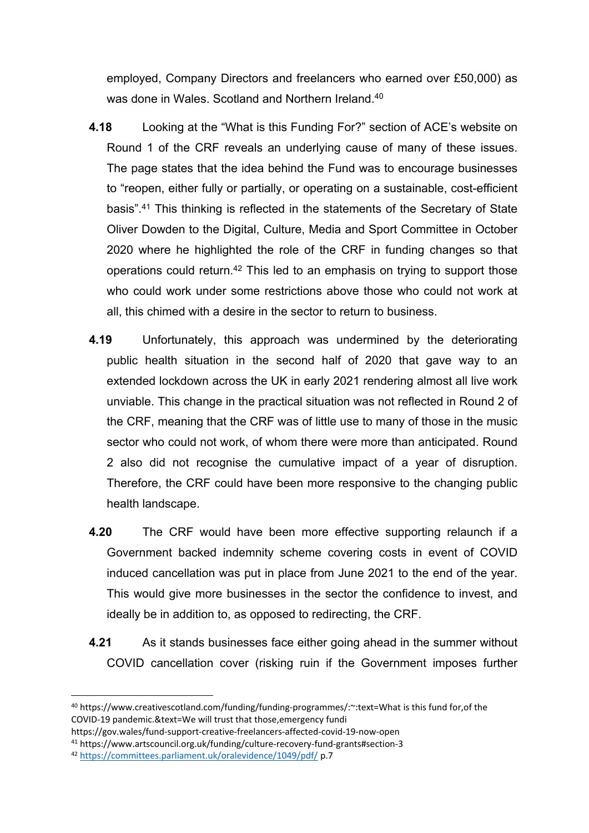employed, Company Directors and freelancers who earned over £50,000) as was done in Wales. Scotland and Northern Ireland.<sup>40</sup>

- **4.18** Looking at the "What is this Funding For?" section of ACE's website on Round 1 of the CRF reveals an underlying cause of many of these issues. The page states that the idea behind the Fund was to encourage businesses to "reopen, either fully or partially, or operating on a sustainable, cost-efficient basis".<sup>41</sup> This thinking is reflected in the statements of the Secretary of State Oliver Dowden to the Digital, Culture, Media and Sport Committee in October 2020 where he highlighted the role of the CRF in funding changes so that operations could return.<sup>42</sup> This led to an emphasis on trying to support those who could work under some restrictions above those who could not work at all, this chimed with a desire in the sector to return to business.
- **4.19** Unfortunately, this approach was undermined by the deteriorating public health situation in the second half of 2020 that gave way to an extended lockdown across the UK in early 2021 rendering almost all live work unviable. This change in the practical situation was not reflected in Round 2 of the CRF, meaning that the CRF was of little use to many of those in the music sector who could not work, of whom there were more than anticipated. Round 2 also did not recognise the cumulative impact of a year of disruption. Therefore, the CRF could have been more responsive to the changing public health landscape.
- **4.20** The CRF would have been more effective supporting relaunch if a Government backed indemnity scheme covering costs in event of COVID induced cancellation was put in place from June 2021 to the end of the year. This would give more businesses in the sector the confidence to invest, and ideally be in addition to, as opposed to redirecting, the CRF.
- **4.21** As it stands businesses face either going ahead in the summer without COVID cancellation cover (risking ruin if the Government imposes further

<sup>40</sup> https://www.creativescotland.com/funding/funding-programmes/:~:text=What is this fund for,of the COVID-19 pandemic.&text=We will trust that those,emergency fundi

https://gov.wales/fund-support-creative-freelancers-affected-covid-19-now-open

<sup>41</sup> https://www.artscouncil.org.uk/funding/culture-recovery-fund-grants#section-3

<sup>42</sup> <https://committees.parliament.uk/oralevidence/1049/pdf/> p.7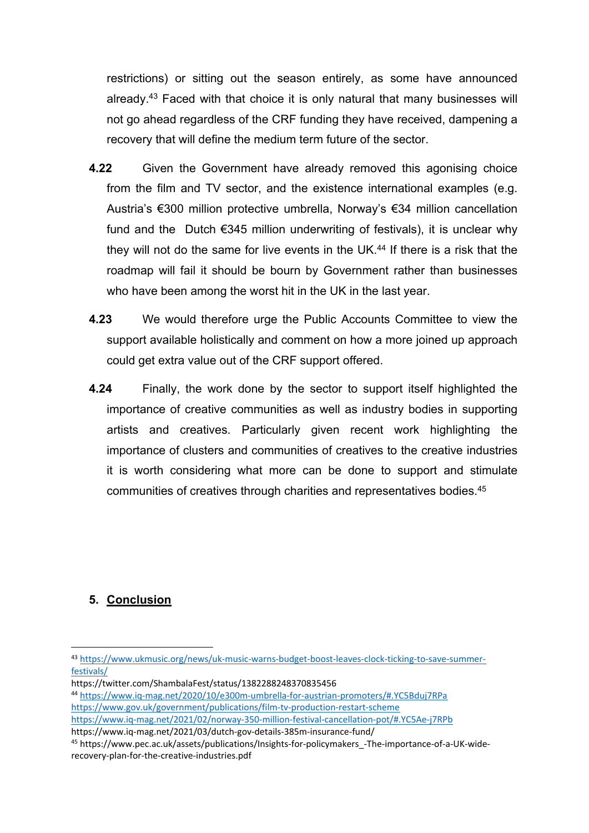restrictions) or sitting out the season entirely, as some have announced already.<sup>43</sup> Faced with that choice it is only natural that many businesses will not go ahead regardless of the CRF funding they have received, dampening a recovery that will define the medium term future of the sector.

- **4.22** Given the Government have already removed this agonising choice from the film and TV sector, and the existence international examples (e.g. Austria's €300 million protective umbrella, Norway's €34 million cancellation fund and the Dutch  $€345$  million underwriting of festivals), it is unclear why they will not do the same for live events in the UK.<sup>44</sup> If there is a risk that the roadmap will fail it should be bourn by Government rather than businesses who have been among the worst hit in the UK in the last year.
- **4.23** We would therefore urge the Public Accounts Committee to view the support available holistically and comment on how a more joined up approach could get extra value out of the CRF support offered.
- **4.24** Finally, the work done by the sector to support itself highlighted the importance of creative communities as well as industry bodies in supporting artists and creatives. Particularly given recent work highlighting the importance of clusters and communities of creatives to the creative industries it is worth considering what more can be done to support and stimulate communities of creatives through charities and representatives bodies.<sup>45</sup>

### **5. Conclusion**

https://www.iq-mag.net/2021/03/dutch-gov-details-385m-insurance-fund/

<sup>43</sup> [https://www.ukmusic.org/news/uk-music-warns-budget-boost-leaves-clock-ticking-to-save-summer](https://www.ukmusic.org/news/uk-music-warns-budget-boost-leaves-clock-ticking-to-save-summer-festivals/)[festivals/](https://www.ukmusic.org/news/uk-music-warns-budget-boost-leaves-clock-ticking-to-save-summer-festivals/)

https://twitter.com/ShambalaFest/status/1382288248370835456

<sup>44</sup> <https://www.iq-mag.net/2020/10/e300m-umbrella-for-austrian-promoters/#.YC5Bduj7RPa> <https://www.gov.uk/government/publications/film-tv-production-restart-scheme> <https://www.iq-mag.net/2021/02/norway-350-million-festival-cancellation-pot/#.YC5Ae-j7RPb>

<sup>45</sup> https://www.pec.ac.uk/assets/publications/Insights-for-policymakers\_-The-importance-of-a-UK-widerecovery-plan-for-the-creative-industries.pdf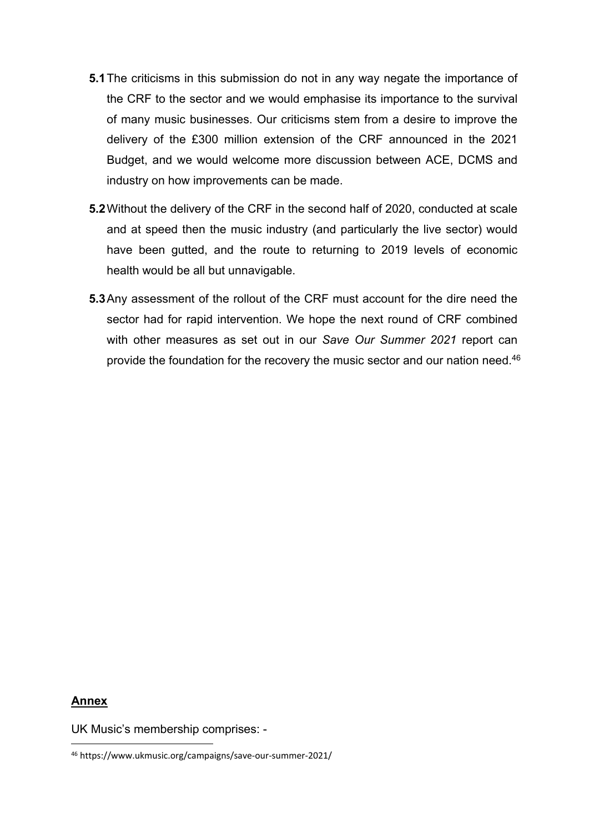- **5.1**The criticisms in this submission do not in any way negate the importance of the CRF to the sector and we would emphasise its importance to the survival of many music businesses. Our criticisms stem from a desire to improve the delivery of the £300 million extension of the CRF announced in the 2021 Budget, and we would welcome more discussion between ACE, DCMS and industry on how improvements can be made.
- **5.2**Without the delivery of the CRF in the second half of 2020, conducted at scale and at speed then the music industry (and particularly the live sector) would have been gutted, and the route to returning to 2019 levels of economic health would be all but unnavigable.
- **5.3**Any assessment of the rollout of the CRF must account for the dire need the sector had for rapid intervention. We hope the next round of CRF combined with other measures as set out in our *Save Our Summer 2021* report can provide the foundation for the recovery the music sector and our nation need.<sup>46</sup>

#### **Annex**

UK Music's membership comprises: -

<sup>46</sup> https://www.ukmusic.org/campaigns/save-our-summer-2021/